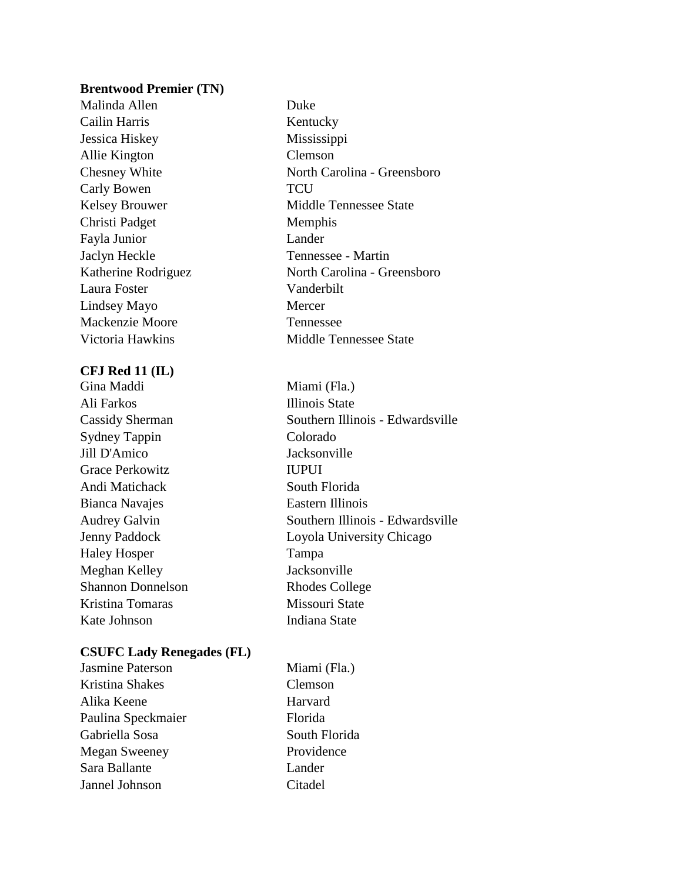#### **Brentwood Premier (TN)**

Malinda Allen Duke Cailin Harris Kentucky Jessica Hiskey Mississippi Allie Kington Clemson Carly Bowen TCU Christi Padget Memphis Fayla Junior Lander Jaclyn Heckle Tennessee - Martin Laura Foster Vanderbilt Lindsey Mayo Mercer Mackenzie Moore Tennessee

## **CFJ Red 11 (IL)**

Gina Maddi Miami (Fla.) Ali Farkos Illinois State Sydney Tappin Colorado Jill D'Amico Jacksonville Grace Perkowitz **IUPUI** Andi Matichack South Florida Bianca Navajes **Eastern Illinois** Haley Hosper Tampa Meghan Kelley Jacksonville Shannon Donnelson Rhodes College Kristina Tomaras Missouri State Kate Johnson Indiana State

## **CSUFC Lady Renegades (FL)**

| Jasmine Paterson     | Miami (Fla.)  |
|----------------------|---------------|
| Kristina Shakes      | Clemson       |
| Alika Keene          | Harvard       |
| Paulina Speckmaier   | Florida       |
| Gabriella Sosa       | South Florida |
| <b>Megan Sweeney</b> | Providence    |
| Sara Ballante        | Lander        |
| Jannel Johnson       | Citadel       |

Chesney White North Carolina - Greensboro Kelsey Brouwer Middle Tennessee State Katherine Rodriguez North Carolina - Greensboro Victoria Hawkins Middle Tennessee State

Cassidy Sherman Southern Illinois - Edwardsville Audrey Galvin Southern Illinois - Edwardsville Jenny Paddock Loyola University Chicago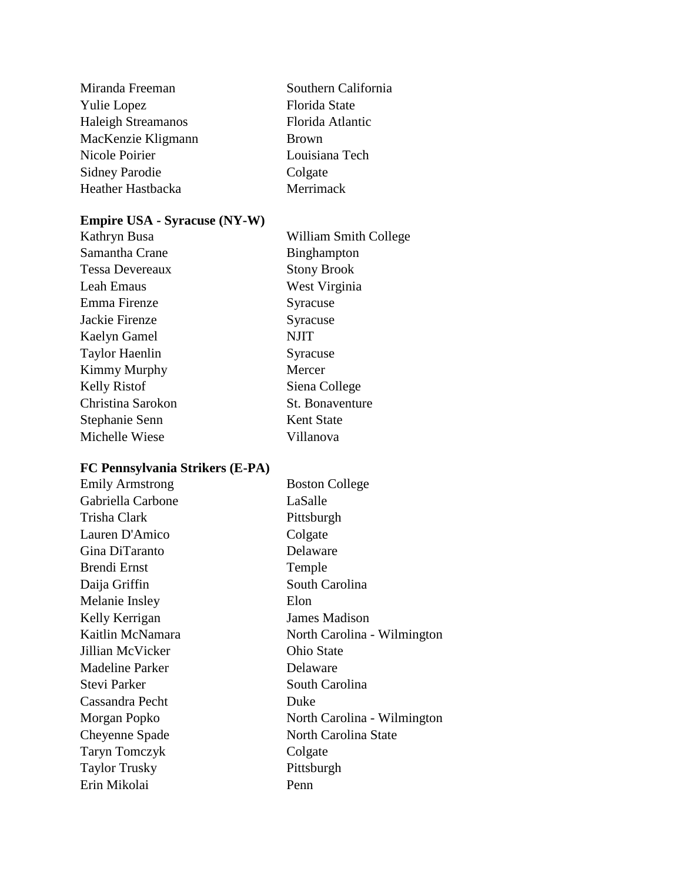| Southern California |
|---------------------|
| Florida State       |
| Florida Atlantic    |
| <b>Brown</b>        |
| Louisiana Tech      |
| Colgate             |
| Merrimack           |
|                     |

## **Empire USA - Syracuse (NY-W)**

| Kathryn Busa           | William Smith College |
|------------------------|-----------------------|
| Samantha Crane         | Binghampton           |
| <b>Tessa Devereaux</b> | <b>Stony Brook</b>    |
| Leah Emaus             | West Virginia         |
| Emma Firenze           | Syracuse              |
| Jackie Firenze         | Syracuse              |
| Kaelyn Gamel           | <b>NJIT</b>           |
| <b>Taylor Haenlin</b>  | Syracuse              |
| Kimmy Murphy           | Mercer                |
| <b>Kelly Ristof</b>    | Siena College         |
| Christina Sarokon      | St. Bonaventure       |
| Stephanie Senn         | <b>Kent State</b>     |
| Michelle Wiese         | Villanova             |
|                        |                       |

# **FC Pennsylvania Strikers (E-PA)**

| <b>Emily Armstrong</b> | <b>Boston College</b>       |
|------------------------|-----------------------------|
| Gabriella Carbone      | LaSalle                     |
| Trisha Clark           | Pittsburgh                  |
| Lauren D'Amico         | Colgate                     |
| Gina DiTaranto         | Delaware                    |
| Brendi Ernst           | Temple                      |
| Daija Griffin          | South Carolina              |
| Melanie Insley         | Elon                        |
| Kelly Kerrigan         | <b>James Madison</b>        |
| Kaitlin McNamara       | North Carolina - Wilmington |
| Jillian McVicker       | <b>Ohio State</b>           |
| <b>Madeline Parker</b> | Delaware                    |
| Stevi Parker           | South Carolina              |
| Cassandra Pecht        | Duke                        |
| Morgan Popko           | North Carolina - Wilmington |
| Cheyenne Spade         | North Carolina State        |
| <b>Taryn Tomczyk</b>   | Colgate                     |
| <b>Taylor Trusky</b>   | Pittsburgh                  |
| Erin Mikolai           | Penn                        |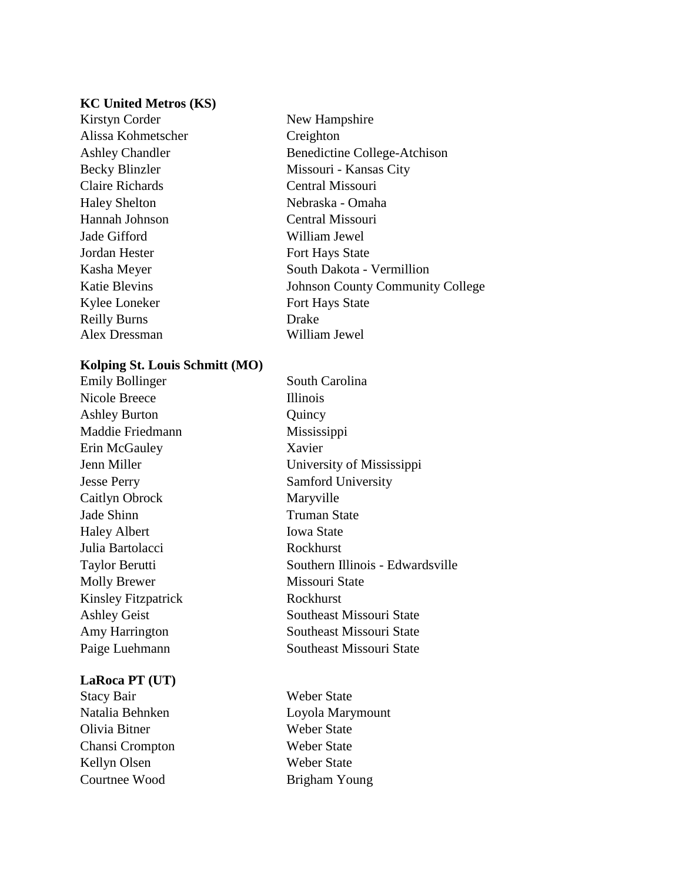#### **KC United Metros (KS)**

Kirstyn Corder New Hampshire Alissa Kohmetscher Creighton Claire Richards Central Missouri Haley Shelton Nebraska - Omaha Hannah Johnson Central Missouri Jade Gifford William Jewel **Jordan Hester Fort Hays State** Kylee Loneker Fort Hays State Reilly Burns Alex Dressman

Ashley Chandler Benedictine College-Atchison Becky Blinzler Missouri - Kansas City Kasha Meyer South Dakota - Vermillion Katie Blevins Johnson County Community College Drake William Jewel

- Edwardsville

## **Kolping St. Louis Schmitt (MO)**

| <b>Emily Bollinger</b>     | South Carolina            |
|----------------------------|---------------------------|
| Nicole Breece              | <i>Illinois</i>           |
| <b>Ashley Burton</b>       | Quincy                    |
| Maddie Friedmann           | Mississippi               |
| Erin McGauley              | Xavier                    |
| Jenn Miller                | University of Mississippi |
| <b>Jesse Perry</b>         | Samford University        |
| Caitlyn Obrock             | Maryville                 |
| Jade Shinn                 | <b>Truman State</b>       |
| <b>Haley Albert</b>        | <b>Iowa State</b>         |
| Julia Bartolacci           | Rockhurst                 |
| Taylor Berutti             | Southern Illinois - Edwar |
| <b>Molly Brewer</b>        | Missouri State            |
| <b>Kinsley Fitzpatrick</b> | Rockhurst                 |
| <b>Ashley Geist</b>        | Southeast Missouri State  |
| Amy Harrington             | Southeast Missouri State  |
| Paige Luehmann             | Southeast Missouri State  |

#### **LaRoca PT (UT)**

Stacy Bair Weber State Olivia Bitner Weber State Chansi Crompton Weber State Kellyn Olsen Weber State Courtnee Wood Brigham Young

Natalia Behnken Loyola Marymount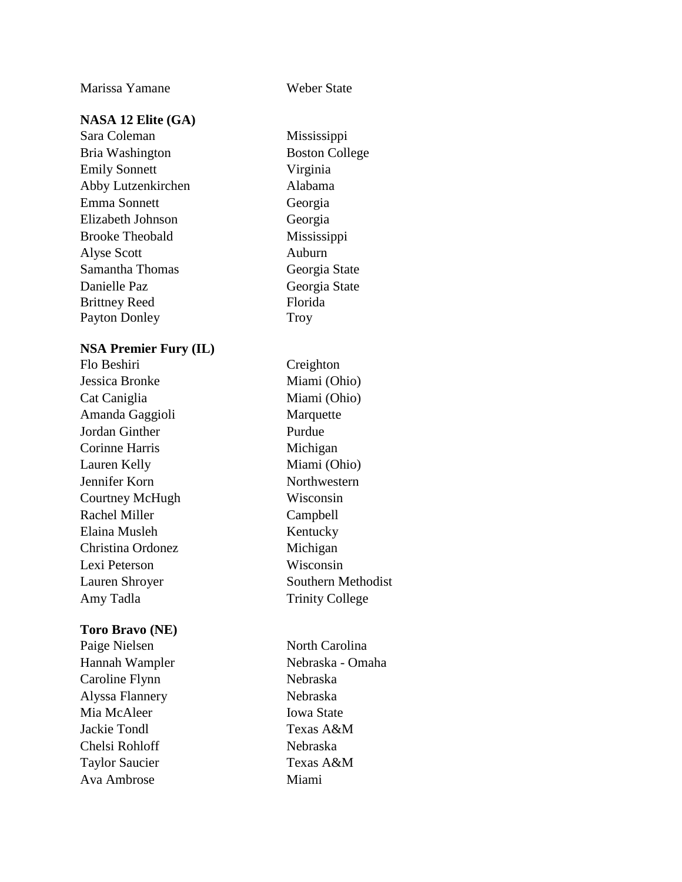Marissa Yamane Weber State

## **NASA 12 Elite (GA)**

Sara Coleman Mississippi Bria Washington Boston College Emily Sonnett Virginia Abby Lutzenkirchen Alabama Emma Sonnett Georgia Elizabeth Johnson Georgia Brooke Theobald Mississippi Alyse Scott Auburn Samantha Thomas Georgia State Danielle Paz Georgia State Brittney Reed Payton Donley

## **NSA Premier Fury (IL)**

Flo Beshiri Creighton Jessica Bronke Miami (Ohio) Cat Caniglia Miami (Ohio) Amanda Gaggioli Marquette Jordan Ginther Purdue Corinne Harris Michigan Lauren Kelly Miami (Ohio) Jennifer Korn Northwestern Courtney McHugh Wisconsin Rachel Miller Campbell Elaina Musleh Kentucky Christina Ordonez Michigan Lexi Peterson Wisconsin Lauren Shroyer Southern Methodist Amy Tadla Trinity College

#### **Toro Bravo (NE)**

Caroline Flynn Nebraska Alyssa Flannery Nebraska Mia McAleer Iowa State Jackie Tondl Texas A&M Chelsi Rohloff Nebraska Taylor Saucier Texas A&M Ava Ambrose Miami

Florida Troy

Paige Nielsen North Carolina Hannah Wampler Nebraska - Omaha